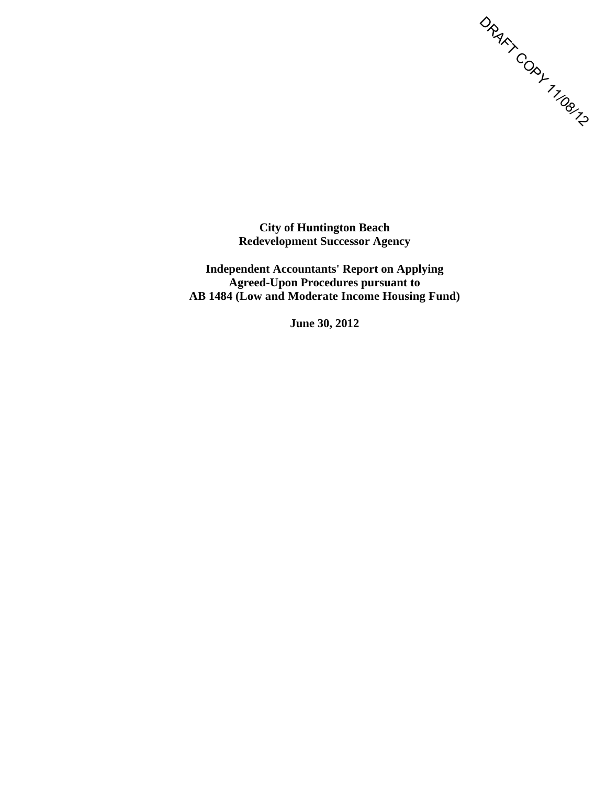

**City of Huntington Beach Redevelopment Successor Agency** 

**Independent Accountants' Report on Applying Agreed-Upon Procedures pursuant to AB 1484 (Low and Moderate Income Housing Fund)** 

**June 30, 2012**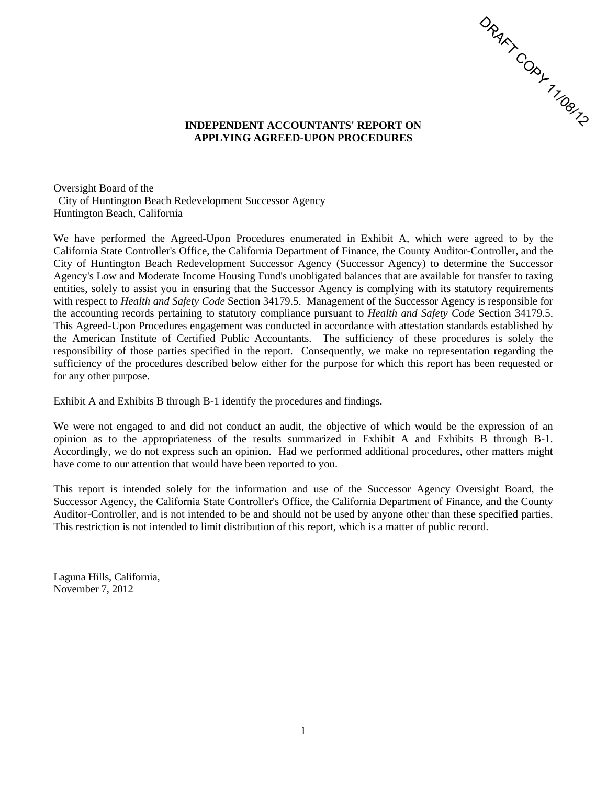

#### **INDEPENDENT ACCOUNTANTS' REPORT ON APPLYING AGREED-UPON PROCEDURES**

Oversight Board of the City of Huntington Beach Redevelopment Successor Agency Huntington Beach, California

We have performed the Agreed-Upon Procedures enumerated in Exhibit A, which were agreed to by the California State Controller's Office, the California Department of Finance, the County Auditor-Controller, and the City of Huntington Beach Redevelopment Successor Agency (Successor Agency) to determine the Successor Agency's Low and Moderate Income Housing Fund's unobligated balances that are available for transfer to taxing entities, solely to assist you in ensuring that the Successor Agency is complying with its statutory requirements with respect to *Health and Safety Code* Section 34179.5. Management of the Successor Agency is responsible for the accounting records pertaining to statutory compliance pursuant to *Health and Safety Code* Section 34179.5. This Agreed-Upon Procedures engagement was conducted in accordance with attestation standards established by the American Institute of Certified Public Accountants. The sufficiency of these procedures is solely the responsibility of those parties specified in the report. Consequently, we make no representation regarding the sufficiency of the procedures described below either for the purpose for which this report has been requested or for any other purpose.

Exhibit A and Exhibits B through B-1 identify the procedures and findings.

We were not engaged to and did not conduct an audit, the objective of which would be the expression of an opinion as to the appropriateness of the results summarized in Exhibit A and Exhibits B through B-1. Accordingly, we do not express such an opinion. Had we performed additional procedures, other matters might have come to our attention that would have been reported to you.

This report is intended solely for the information and use of the Successor Agency Oversight Board, the Successor Agency, the California State Controller's Office, the California Department of Finance, and the County Auditor-Controller, and is not intended to be and should not be used by anyone other than these specified parties. This restriction is not intended to limit distribution of this report, which is a matter of public record.

Laguna Hills, California, November 7, 2012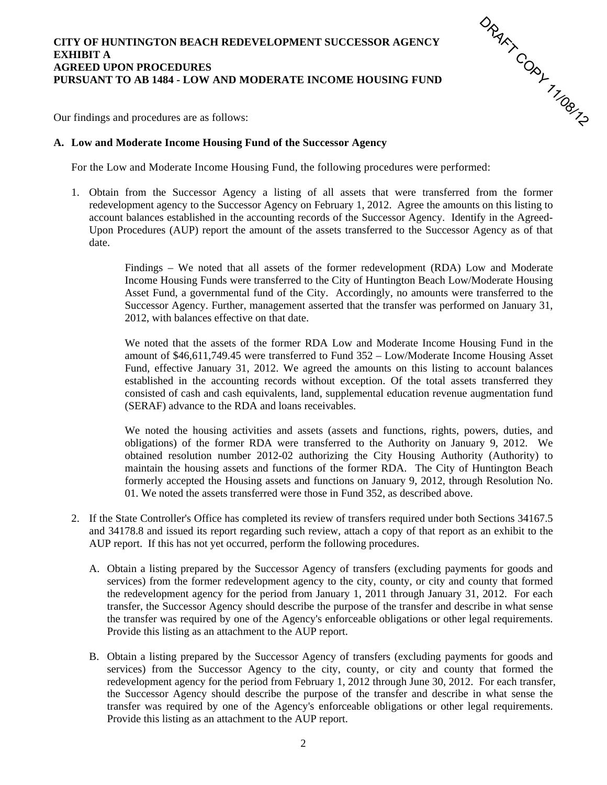

Our findings and procedures are as follows:

# **A. Low and Moderate Income Housing Fund of the Successor Agency**

For the Low and Moderate Income Housing Fund, the following procedures were performed:

1. Obtain from the Successor Agency a listing of all assets that were transferred from the former redevelopment agency to the Successor Agency on February 1, 2012. Agree the amounts on this listing to account balances established in the accounting records of the Successor Agency. Identify in the Agreed-Upon Procedures (AUP) report the amount of the assets transferred to the Successor Agency as of that date.

> Findings – We noted that all assets of the former redevelopment (RDA) Low and Moderate Income Housing Funds were transferred to the City of Huntington Beach Low/Moderate Housing Asset Fund, a governmental fund of the City. Accordingly, no amounts were transferred to the Successor Agency. Further, management asserted that the transfer was performed on January 31, 2012, with balances effective on that date.

> We noted that the assets of the former RDA Low and Moderate Income Housing Fund in the amount of \$46,611,749.45 were transferred to Fund 352 – Low/Moderate Income Housing Asset Fund, effective January 31, 2012. We agreed the amounts on this listing to account balances established in the accounting records without exception. Of the total assets transferred they consisted of cash and cash equivalents, land, supplemental education revenue augmentation fund (SERAF) advance to the RDA and loans receivables.

> We noted the housing activities and assets (assets and functions, rights, powers, duties, and obligations) of the former RDA were transferred to the Authority on January 9, 2012. We obtained resolution number 2012-02 authorizing the City Housing Authority (Authority) to maintain the housing assets and functions of the former RDA. The City of Huntington Beach formerly accepted the Housing assets and functions on January 9, 2012, through Resolution No. 01. We noted the assets transferred were those in Fund 352, as described above.

- 2. If the State Controller's Office has completed its review of transfers required under both Sections 34167.5 and 34178.8 and issued its report regarding such review, attach a copy of that report as an exhibit to the AUP report. If this has not yet occurred, perform the following procedures.
	- A. Obtain a listing prepared by the Successor Agency of transfers (excluding payments for goods and services) from the former redevelopment agency to the city, county, or city and county that formed the redevelopment agency for the period from January 1, 2011 through January 31, 2012. For each transfer, the Successor Agency should describe the purpose of the transfer and describe in what sense the transfer was required by one of the Agency's enforceable obligations or other legal requirements. Provide this listing as an attachment to the AUP report.
	- B. Obtain a listing prepared by the Successor Agency of transfers (excluding payments for goods and services) from the Successor Agency to the city, county, or city and county that formed the redevelopment agency for the period from February 1, 2012 through June 30, 2012. For each transfer, the Successor Agency should describe the purpose of the transfer and describe in what sense the transfer was required by one of the Agency's enforceable obligations or other legal requirements. Provide this listing as an attachment to the AUP report.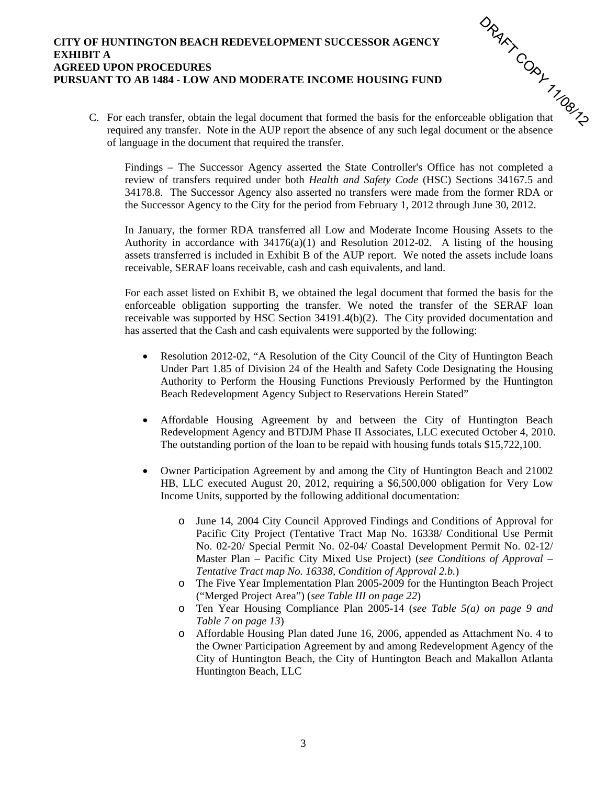C. For each transfer, obtain the legal document that formed the basis for the enforceable obligation that required any transfer. Note in the AUP report the absence of any such legal document or the absence of language in the document that required the transfer. ORAKT CORY 11/08/12

Findings – The Successor Agency asserted the State Controller's Office has not completed a review of transfers required under both *Health and Safety Code* (HSC) Sections 34167.5 and 34178.8. The Successor Agency also asserted no transfers were made from the former RDA or the Successor Agency to the City for the period from February 1, 2012 through June 30, 2012.

In January, the former RDA transferred all Low and Moderate Income Housing Assets to the Authority in accordance with  $34176(a)(1)$  and Resolution 2012-02. A listing of the housing assets transferred is included in Exhibit B of the AUP report. We noted the assets include loans receivable, SERAF loans receivable, cash and cash equivalents, and land.

For each asset listed on Exhibit B, we obtained the legal document that formed the basis for the enforceable obligation supporting the transfer. We noted the transfer of the SERAF loan receivable was supported by HSC Section 34191.4(b)(2). The City provided documentation and has asserted that the Cash and cash equivalents were supported by the following:

- Resolution 2012-02, "A Resolution of the City Council of the City of Huntington Beach Under Part 1.85 of Division 24 of the Health and Safety Code Designating the Housing Authority to Perform the Housing Functions Previously Performed by the Huntington Beach Redevelopment Agency Subject to Reservations Herein Stated"
- Affordable Housing Agreement by and between the City of Huntington Beach Redevelopment Agency and BTDJM Phase II Associates, LLC executed October 4, 2010. The outstanding portion of the loan to be repaid with housing funds totals \$15,722,100.
- Owner Participation Agreement by and among the City of Huntington Beach and 21002 HB, LLC executed August 20, 2012, requiring a \$6,500,000 obligation for Very Low Income Units, supported by the following additional documentation:
	- o June 14, 2004 City Council Approved Findings and Conditions of Approval for Pacific City Project (Tentative Tract Map No. 16338/ Conditional Use Permit No. 02-20/ Special Permit No. 02-04/ Coastal Development Permit No. 02-12/ Master Plan – Pacific City Mixed Use Project) (*see Conditions of Approval – Tentative Tract map No. 16338, Condition of Approval 2.b.*)
	- o The Five Year Implementation Plan 2005-2009 for the Huntington Beach Project ("Merged Project Area") (*see Table III on page 22*)
	- o Ten Year Housing Compliance Plan 2005-14 (*see Table 5(a) on page 9 and Table 7 on page 13*)
	- o Affordable Housing Plan dated June 16, 2006, appended as Attachment No. 4 to the Owner Participation Agreement by and among Redevelopment Agency of the City of Huntington Beach, the City of Huntington Beach and Makallon Atlanta Huntington Beach, LLC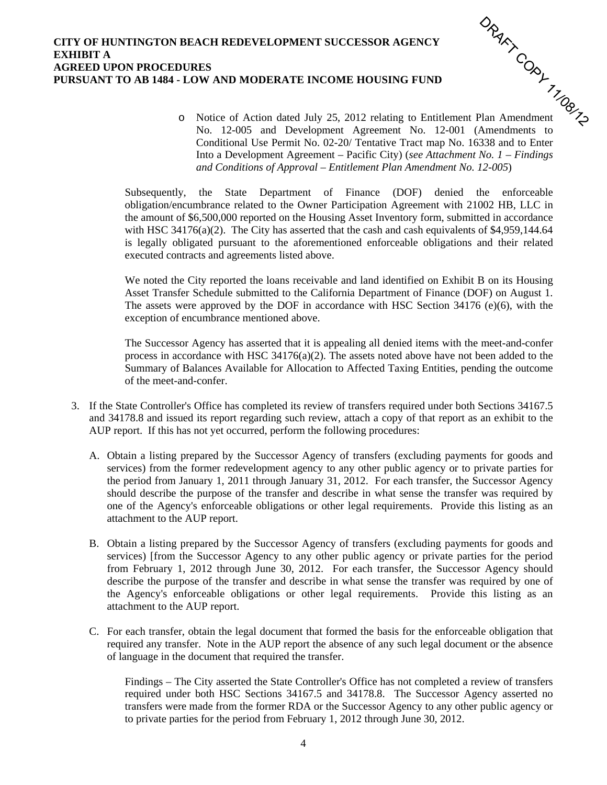o Notice of Action dated July 25, 2012 relating to Entitlement Plan Amendment No. 12-005 and Development Agreement No. 12-001 (Amendments to Conditional Use Permit No. 02-20/ Tentative Tract map No. 16338 and to Enter Into a Development Agreement – Pacific City) (*see Attachment No. 1 – Findings and Conditions of Approval – Entitlement Plan Amendment No. 12-005*) ORAKT CORY 11/08/12

Subsequently, the State Department of Finance (DOF) denied the enforceable obligation/encumbrance related to the Owner Participation Agreement with 21002 HB, LLC in the amount of \$6,500,000 reported on the Housing Asset Inventory form, submitted in accordance with HSC 34176(a)(2). The City has asserted that the cash and cash equivalents of  $$4,959,144.64$ is legally obligated pursuant to the aforementioned enforceable obligations and their related executed contracts and agreements listed above.

We noted the City reported the loans receivable and land identified on Exhibit B on its Housing Asset Transfer Schedule submitted to the California Department of Finance (DOF) on August 1. The assets were approved by the DOF in accordance with HSC Section 34176 (e)(6), with the exception of encumbrance mentioned above.

The Successor Agency has asserted that it is appealing all denied items with the meet-and-confer process in accordance with HSC 34176(a)(2). The assets noted above have not been added to the Summary of Balances Available for Allocation to Affected Taxing Entities, pending the outcome of the meet-and-confer.

- 3. If the State Controller's Office has completed its review of transfers required under both Sections 34167.5 and 34178.8 and issued its report regarding such review, attach a copy of that report as an exhibit to the AUP report. If this has not yet occurred, perform the following procedures:
	- A. Obtain a listing prepared by the Successor Agency of transfers (excluding payments for goods and services) from the former redevelopment agency to any other public agency or to private parties for the period from January 1, 2011 through January 31, 2012. For each transfer, the Successor Agency should describe the purpose of the transfer and describe in what sense the transfer was required by one of the Agency's enforceable obligations or other legal requirements. Provide this listing as an attachment to the AUP report.
	- B. Obtain a listing prepared by the Successor Agency of transfers (excluding payments for goods and services) [from the Successor Agency to any other public agency or private parties for the period from February 1, 2012 through June 30, 2012. For each transfer, the Successor Agency should describe the purpose of the transfer and describe in what sense the transfer was required by one of the Agency's enforceable obligations or other legal requirements. Provide this listing as an attachment to the AUP report.
	- C. For each transfer, obtain the legal document that formed the basis for the enforceable obligation that required any transfer. Note in the AUP report the absence of any such legal document or the absence of language in the document that required the transfer.

Findings – The City asserted the State Controller's Office has not completed a review of transfers required under both HSC Sections 34167.5 and 34178.8. The Successor Agency asserted no transfers were made from the former RDA or the Successor Agency to any other public agency or to private parties for the period from February 1, 2012 through June 30, 2012.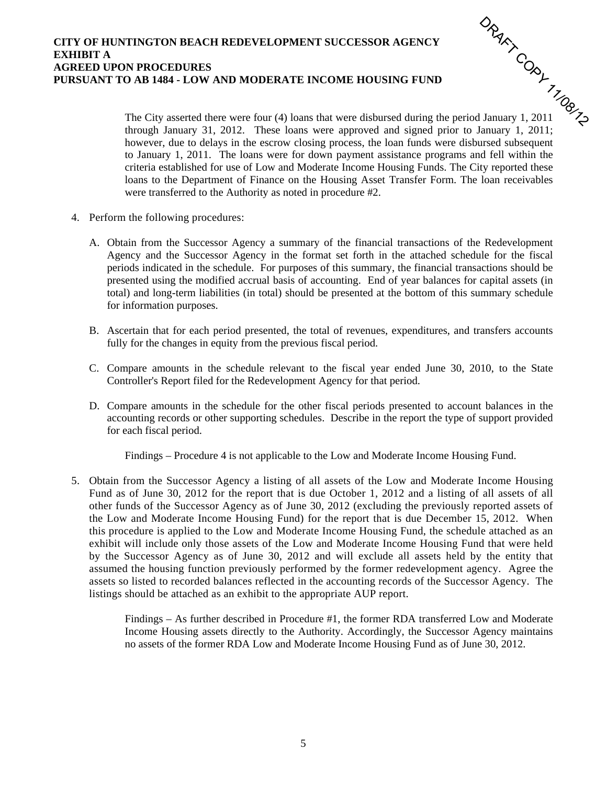The City asserted there were four (4) loans that were disbursed during the period January 1, 2011 through January 31, 2012. These loans were approved and signed prior to January 1, 2011; however, due to delays in the escrow closing process, the loan funds were disbursed subsequent to January 1, 2011. The loans were for down payment assistance programs and fell within the criteria established for use of Low and Moderate Income Housing Funds. The City reported these loans to the Department of Finance on the Housing Asset Transfer Form. The loan receivables were transferred to the Authority as noted in procedure #2. ORAKT CORY 11/08/12

- 4. Perform the following procedures:
	- A. Obtain from the Successor Agency a summary of the financial transactions of the Redevelopment Agency and the Successor Agency in the format set forth in the attached schedule for the fiscal periods indicated in the schedule. For purposes of this summary, the financial transactions should be presented using the modified accrual basis of accounting. End of year balances for capital assets (in total) and long-term liabilities (in total) should be presented at the bottom of this summary schedule for information purposes.
	- B. Ascertain that for each period presented, the total of revenues, expenditures, and transfers accounts fully for the changes in equity from the previous fiscal period.
	- C. Compare amounts in the schedule relevant to the fiscal year ended June 30, 2010, to the State Controller's Report filed for the Redevelopment Agency for that period.
	- D. Compare amounts in the schedule for the other fiscal periods presented to account balances in the accounting records or other supporting schedules. Describe in the report the type of support provided for each fiscal period.

Findings – Procedure 4 is not applicable to the Low and Moderate Income Housing Fund.

5. Obtain from the Successor Agency a listing of all assets of the Low and Moderate Income Housing Fund as of June 30, 2012 for the report that is due October 1, 2012 and a listing of all assets of all other funds of the Successor Agency as of June 30, 2012 (excluding the previously reported assets of the Low and Moderate Income Housing Fund) for the report that is due December 15, 2012. When this procedure is applied to the Low and Moderate Income Housing Fund, the schedule attached as an exhibit will include only those assets of the Low and Moderate Income Housing Fund that were held by the Successor Agency as of June 30, 2012 and will exclude all assets held by the entity that assumed the housing function previously performed by the former redevelopment agency. Agree the assets so listed to recorded balances reflected in the accounting records of the Successor Agency. The listings should be attached as an exhibit to the appropriate AUP report.

> Findings – As further described in Procedure #1, the former RDA transferred Low and Moderate Income Housing assets directly to the Authority. Accordingly, the Successor Agency maintains no assets of the former RDA Low and Moderate Income Housing Fund as of June 30, 2012.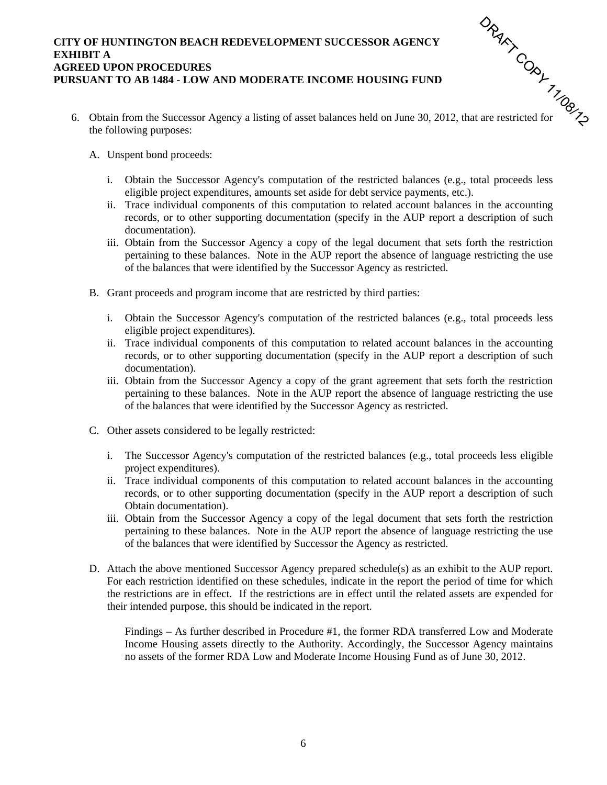- 6. Obtain from the Successor Agency a listing of asset balances held on June 30, 2012, that are restricted for the following purposes: ORAKT CORY 11/08/12
	- A. Unspent bond proceeds:
		- i. Obtain the Successor Agency's computation of the restricted balances (e.g., total proceeds less eligible project expenditures, amounts set aside for debt service payments, etc.).
		- ii. Trace individual components of this computation to related account balances in the accounting records, or to other supporting documentation (specify in the AUP report a description of such documentation).
		- iii. Obtain from the Successor Agency a copy of the legal document that sets forth the restriction pertaining to these balances. Note in the AUP report the absence of language restricting the use of the balances that were identified by the Successor Agency as restricted.
	- B. Grant proceeds and program income that are restricted by third parties:
		- i. Obtain the Successor Agency's computation of the restricted balances (e.g., total proceeds less eligible project expenditures).
		- ii. Trace individual components of this computation to related account balances in the accounting records, or to other supporting documentation (specify in the AUP report a description of such documentation).
		- iii. Obtain from the Successor Agency a copy of the grant agreement that sets forth the restriction pertaining to these balances. Note in the AUP report the absence of language restricting the use of the balances that were identified by the Successor Agency as restricted.
	- C. Other assets considered to be legally restricted:
		- i. The Successor Agency's computation of the restricted balances (e.g., total proceeds less eligible project expenditures).
		- ii. Trace individual components of this computation to related account balances in the accounting records, or to other supporting documentation (specify in the AUP report a description of such Obtain documentation).
		- iii. Obtain from the Successor Agency a copy of the legal document that sets forth the restriction pertaining to these balances. Note in the AUP report the absence of language restricting the use of the balances that were identified by Successor the Agency as restricted.
	- D. Attach the above mentioned Successor Agency prepared schedule(s) as an exhibit to the AUP report. For each restriction identified on these schedules, indicate in the report the period of time for which the restrictions are in effect. If the restrictions are in effect until the related assets are expended for their intended purpose, this should be indicated in the report.

Findings – As further described in Procedure #1, the former RDA transferred Low and Moderate Income Housing assets directly to the Authority. Accordingly, the Successor Agency maintains no assets of the former RDA Low and Moderate Income Housing Fund as of June 30, 2012.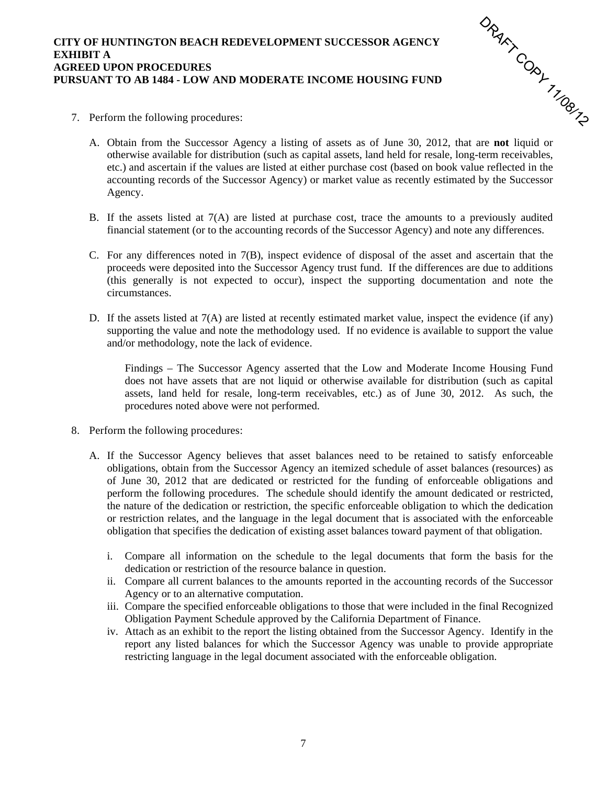

- 7. Perform the following procedures:
	- A. Obtain from the Successor Agency a listing of assets as of June 30, 2012, that are **not** liquid or otherwise available for distribution (such as capital assets, land held for resale, long-term receivables, etc.) and ascertain if the values are listed at either purchase cost (based on book value reflected in the accounting records of the Successor Agency) or market value as recently estimated by the Successor Agency.
	- B. If the assets listed at 7(A) are listed at purchase cost, trace the amounts to a previously audited financial statement (or to the accounting records of the Successor Agency) and note any differences.
	- C. For any differences noted in  $7(B)$ , inspect evidence of disposal of the asset and ascertain that the proceeds were deposited into the Successor Agency trust fund. If the differences are due to additions (this generally is not expected to occur), inspect the supporting documentation and note the circumstances.
	- D. If the assets listed at  $7(A)$  are listed at recently estimated market value, inspect the evidence (if any) supporting the value and note the methodology used. If no evidence is available to support the value and/or methodology, note the lack of evidence.

Findings – The Successor Agency asserted that the Low and Moderate Income Housing Fund does not have assets that are not liquid or otherwise available for distribution (such as capital assets, land held for resale, long-term receivables, etc.) as of June 30, 2012. As such, the procedures noted above were not performed.

- 8. Perform the following procedures:
	- A. If the Successor Agency believes that asset balances need to be retained to satisfy enforceable obligations, obtain from the Successor Agency an itemized schedule of asset balances (resources) as of June 30, 2012 that are dedicated or restricted for the funding of enforceable obligations and perform the following procedures. The schedule should identify the amount dedicated or restricted, the nature of the dedication or restriction, the specific enforceable obligation to which the dedication or restriction relates, and the language in the legal document that is associated with the enforceable obligation that specifies the dedication of existing asset balances toward payment of that obligation.
		- i. Compare all information on the schedule to the legal documents that form the basis for the dedication or restriction of the resource balance in question.
		- ii. Compare all current balances to the amounts reported in the accounting records of the Successor Agency or to an alternative computation.
		- iii. Compare the specified enforceable obligations to those that were included in the final Recognized Obligation Payment Schedule approved by the California Department of Finance.
		- iv. Attach as an exhibit to the report the listing obtained from the Successor Agency. Identify in the report any listed balances for which the Successor Agency was unable to provide appropriate restricting language in the legal document associated with the enforceable obligation.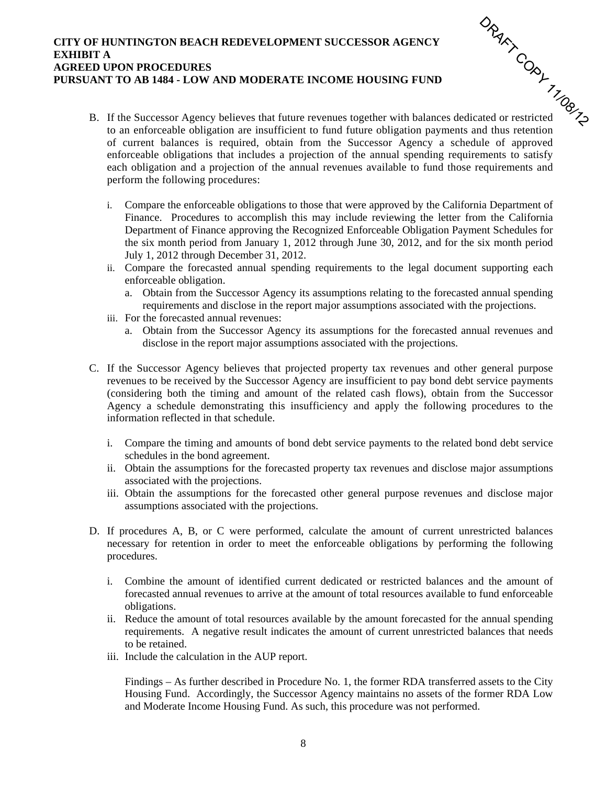- B. If the Successor Agency believes that future revenues together with balances dedicated or restricted to an enforceable obligation are insufficient to fund future obligation payments and thus retention of current balances is required, obtain from the Successor Agency a schedule of approved enforceable obligations that includes a projection of the annual spending requirements to satisfy each obligation and a projection of the annual revenues available to fund those requirements and perform the following procedures: ORAKT CORY 11/08/12
	- i. Compare the enforceable obligations to those that were approved by the California Department of Finance. Procedures to accomplish this may include reviewing the letter from the California Department of Finance approving the Recognized Enforceable Obligation Payment Schedules for the six month period from January 1, 2012 through June 30, 2012, and for the six month period July 1, 2012 through December 31, 2012.
	- ii. Compare the forecasted annual spending requirements to the legal document supporting each enforceable obligation.
		- a. Obtain from the Successor Agency its assumptions relating to the forecasted annual spending requirements and disclose in the report major assumptions associated with the projections.
	- iii. For the forecasted annual revenues:
		- a. Obtain from the Successor Agency its assumptions for the forecasted annual revenues and disclose in the report major assumptions associated with the projections.
- C. If the Successor Agency believes that projected property tax revenues and other general purpose revenues to be received by the Successor Agency are insufficient to pay bond debt service payments (considering both the timing and amount of the related cash flows), obtain from the Successor Agency a schedule demonstrating this insufficiency and apply the following procedures to the information reflected in that schedule.
	- i. Compare the timing and amounts of bond debt service payments to the related bond debt service schedules in the bond agreement.
	- ii. Obtain the assumptions for the forecasted property tax revenues and disclose major assumptions associated with the projections.
	- iii. Obtain the assumptions for the forecasted other general purpose revenues and disclose major assumptions associated with the projections.
- D. If procedures A, B, or C were performed, calculate the amount of current unrestricted balances necessary for retention in order to meet the enforceable obligations by performing the following procedures.
	- i. Combine the amount of identified current dedicated or restricted balances and the amount of forecasted annual revenues to arrive at the amount of total resources available to fund enforceable obligations.
	- ii. Reduce the amount of total resources available by the amount forecasted for the annual spending requirements. A negative result indicates the amount of current unrestricted balances that needs to be retained.
	- iii. Include the calculation in the AUP report.

Findings – As further described in Procedure No. 1, the former RDA transferred assets to the City Housing Fund. Accordingly, the Successor Agency maintains no assets of the former RDA Low and Moderate Income Housing Fund. As such, this procedure was not performed.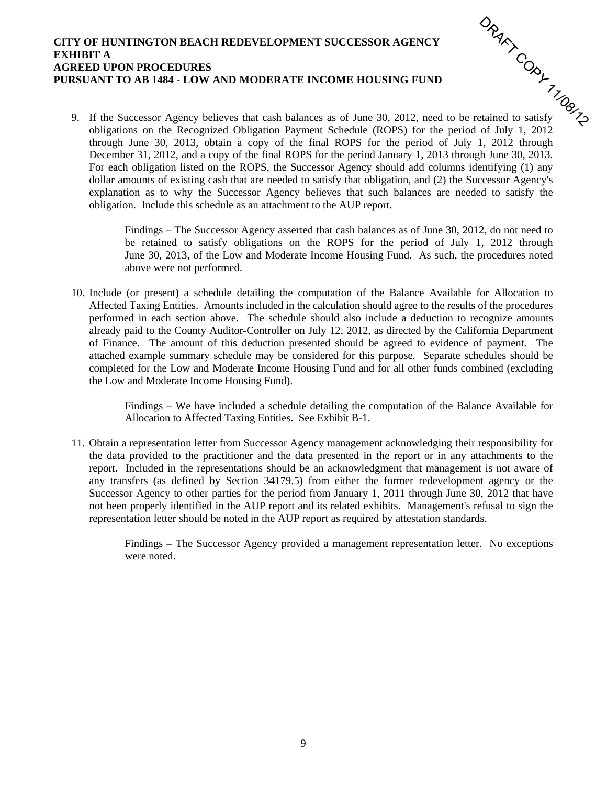9. If the Successor Agency believes that cash balances as of June 30, 2012, need to be retained to satisfy obligations on the Recognized Obligation Payment Schedule (ROPS) for the period of July 1, 2012 through June 30, 2013, obtain a copy of the final ROPS for the period of July 1, 2012 through December 31, 2012, and a copy of the final ROPS for the period January 1, 2013 through June 30, 2013. For each obligation listed on the ROPS, the Successor Agency should add columns identifying (1) any dollar amounts of existing cash that are needed to satisfy that obligation, and (2) the Successor Agency's explanation as to why the Successor Agency believes that such balances are needed to satisfy the obligation. Include this schedule as an attachment to the AUP report. ORAKT CORY 11/08/12

> Findings – The Successor Agency asserted that cash balances as of June 30, 2012, do not need to be retained to satisfy obligations on the ROPS for the period of July 1, 2012 through June 30, 2013, of the Low and Moderate Income Housing Fund. As such, the procedures noted above were not performed.

10. Include (or present) a schedule detailing the computation of the Balance Available for Allocation to Affected Taxing Entities. Amounts included in the calculation should agree to the results of the procedures performed in each section above. The schedule should also include a deduction to recognize amounts already paid to the County Auditor-Controller on July 12, 2012, as directed by the California Department of Finance. The amount of this deduction presented should be agreed to evidence of payment. The attached example summary schedule may be considered for this purpose. Separate schedules should be completed for the Low and Moderate Income Housing Fund and for all other funds combined (excluding the Low and Moderate Income Housing Fund).

> Findings – We have included a schedule detailing the computation of the Balance Available for Allocation to Affected Taxing Entities. See Exhibit B-1.

11. Obtain a representation letter from Successor Agency management acknowledging their responsibility for the data provided to the practitioner and the data presented in the report or in any attachments to the report. Included in the representations should be an acknowledgment that management is not aware of any transfers (as defined by Section 34179.5) from either the former redevelopment agency or the Successor Agency to other parties for the period from January 1, 2011 through June 30, 2012 that have not been properly identified in the AUP report and its related exhibits. Management's refusal to sign the representation letter should be noted in the AUP report as required by attestation standards.

> Findings – The Successor Agency provided a management representation letter. No exceptions were noted.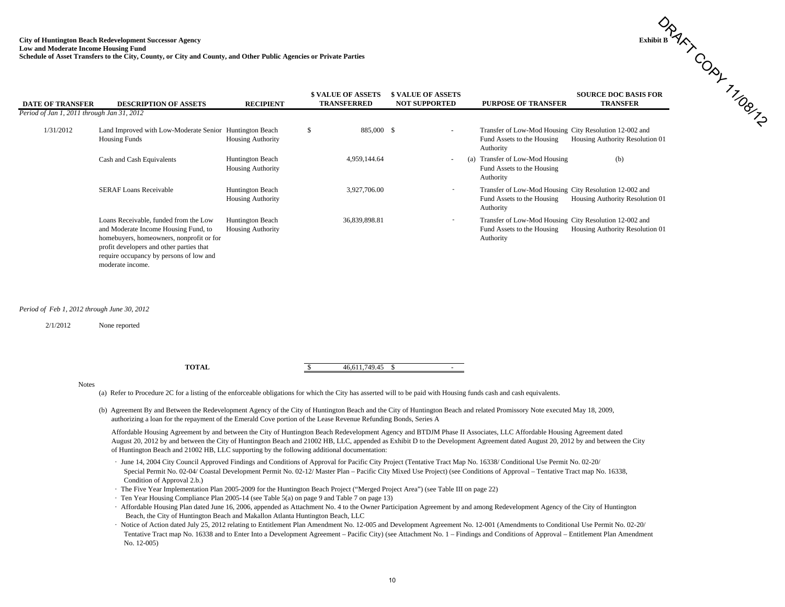#### **City of Huntington Beach Redevelopment Successor Agency**

#### **Low and Moderate Income Housing Fund**

| <b>Exhibit B</b><br><b>City of Huntington Beach Redevelopment Successor Agency</b><br><b>Low and Moderate Income Housing Fund</b><br>Schedule of Asset Transfers to the City, County, or City and County, and Other Public Agencies or Private Parties |                                                                                                                                                                                                                                      |                                              |                                                 |                                                   |                                                                                                                                      |          |  |  |  |
|--------------------------------------------------------------------------------------------------------------------------------------------------------------------------------------------------------------------------------------------------------|--------------------------------------------------------------------------------------------------------------------------------------------------------------------------------------------------------------------------------------|----------------------------------------------|-------------------------------------------------|---------------------------------------------------|--------------------------------------------------------------------------------------------------------------------------------------|----------|--|--|--|
| <b>DATE OF TRANSFER</b>                                                                                                                                                                                                                                | <b>DESCRIPTION OF ASSETS</b>                                                                                                                                                                                                         | <b>RECIPIENT</b>                             | <b>\$ VALUE OF ASSETS</b><br><b>TRANSFERRED</b> | <b>\$ VALUE OF ASSETS</b><br><b>NOT SUPPORTED</b> | <b>SOURCE DOC BASIS FOR</b><br><b>PURPOSE OF TRANSFER</b><br><b>TRANSFER</b>                                                         | INDer I. |  |  |  |
| Period of Jan 1, 2011 through Jan 31, 2012                                                                                                                                                                                                             |                                                                                                                                                                                                                                      |                                              |                                                 |                                                   |                                                                                                                                      |          |  |  |  |
| 1/31/2012                                                                                                                                                                                                                                              | Land Improved with Low-Moderate Senior Huntington Beach<br><b>Housing Funds</b>                                                                                                                                                      | <b>Housing Authority</b>                     | 885,000 \$<br>\$                                | $\sim$                                            | Transfer of Low-Mod Housing City Resolution 12-002 and<br>Fund Assets to the Housing<br>Housing Authority Resolution 01<br>Authority |          |  |  |  |
|                                                                                                                                                                                                                                                        | Cash and Cash Equivalents                                                                                                                                                                                                            | Huntington Beach<br><b>Housing Authority</b> | 4.959.144.64                                    | $\sim$                                            | (a) Transfer of Low-Mod Housing<br>(b)<br>Fund Assets to the Housing<br>Authority                                                    |          |  |  |  |
|                                                                                                                                                                                                                                                        | <b>SERAF Loans Receivable</b>                                                                                                                                                                                                        | Huntington Beach<br><b>Housing Authority</b> | 3,927,706.00                                    | $\sim$                                            | Transfer of Low-Mod Housing City Resolution 12-002 and<br>Fund Assets to the Housing<br>Housing Authority Resolution 01<br>Authority |          |  |  |  |
|                                                                                                                                                                                                                                                        | Loans Receivable, funded from the Low<br>and Moderate Income Housing Fund, to<br>homebuyers, homeowners, nonprofit or for<br>profit developers and other parties that<br>require occupancy by persons of low and<br>moderate income. | Huntington Beach<br><b>Housing Authority</b> | 36,839,898.81                                   | $\overline{\phantom{a}}$                          | Transfer of Low-Mod Housing City Resolution 12-002 and<br>Housing Authority Resolution 01<br>Fund Assets to the Housing<br>Authority |          |  |  |  |

#### *Period of Feb 1, 2012 through June 30, 2012*

2/1/2012None reported

**TOTAL**

 $$ 46,611,749.45 \quad $$ 

#### Notes

(a) Refer to Procedure 2C for a listing of the enforceable obligations for which the City has asserted will to be paid with Housing funds cash and cash equivalents.

(b) Agreement By and Between the Redevelopment Agency of the City of Huntington Beach and the City of Huntington Beach and related Promissory Note executed May 18, 2009, authorizing a loan for the repayment of the Emerald Cove portion of the Lease Revenue Refunding Bonds, Series A

 Affordable Housing Agreement by and between the City of Huntington Beach Redevelopment Agency and BTDJM Phase II Associates, LLC Affordable Housing Agreement dated August 20, 2012 by and between the City of Huntington Beach and 21002 HB, LLC, appended as Exhibit D to the Development Agreement dated August 20, 2012 by and between the City of Huntington Beach and 21002 HB, LLC supporting by the following additional documentation:

- · June 14, 2004 City Council Approved Findings and Conditions of Approval for Pacific City Project (Tentative Tract Map No. 16338/ Conditional Use Permit No. 02-20/ Special Permit No. 02-04/ Coastal Development Permit No. 02-12/ Master Plan – Pacific City Mixed Use Project) (see Conditions of Approval – Tentative Tract map No. 16338, Condition of Approval 2.b.)
- · The Five Year Implementation Plan 2005-2009 for the Huntington Beach Project ("Merged Project Area") (see Table III on page 22)
- · Ten Year Housing Compliance Plan 2005-14 (see Table 5(a) on page 9 and Table 7 on page 13)
- · Affordable Housing Plan dated June 16, 2006, appended as Attachment No. 4 to the Owner Participation Agreement by and among Redevelopment Agency of the City of Huntington Beach, the City of Huntington Beach and Makallon Atlanta Huntington Beach, LLC
- · Notice of Action dated July 25, 2012 relating to Entitlement Plan Amendment No. 12-005 and Development Agreement No. 12-001 (Amendments to Conditional Use Permit No. 02-20/ Tentative Tract map No. 16338 and to Enter Into a Development Agreement – Pacific City) (see Attachment No. 1 – Findings and Conditions of Approval – Entitlement Plan Amendment No. 12-005)